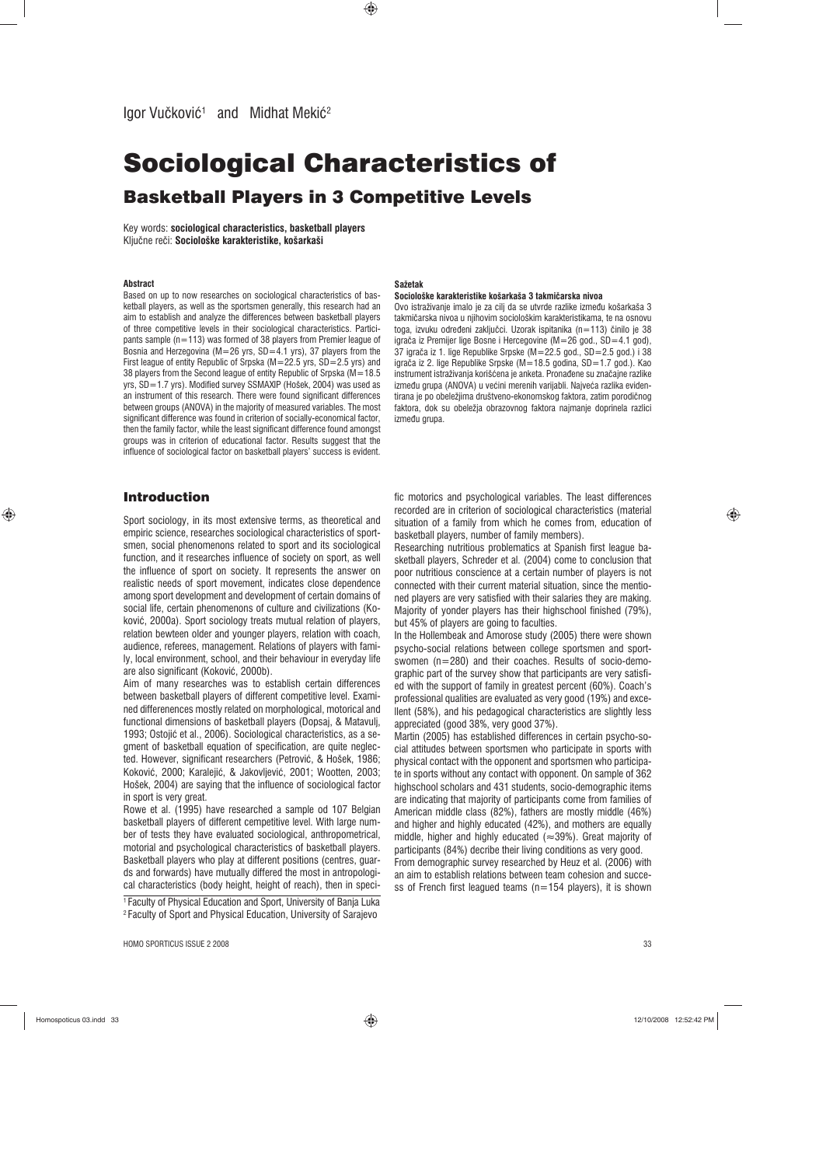# Sociological Characteristics of Basketball Players in 3 Competitive Levels

Key words: **sociological characteristics, basketball players** Ključne reči: Sociološke karakteristike, košarkaši

#### **Abstract**

Based on up to now researches on sociological characteristics of basketball players, as well as the sportsmen generally, this research had an aim to establish and analyze the differences between basketball players of three competitive levels in their sociological characteristics. Participants sample (n=113) was formed of 38 players from Premier league of Bosnia and Herzegovina ( $M=26$  yrs,  $SD=4.1$  yrs), 37 players from the First league of entity Republic of Srpska (M=22.5 yrs, SD=2.5 yrs) and 38 players from the Second league of entity Republic of Srpska (M=18.5 yrs, SD=1.7 yrs). Modified survey SSMAXIP (Hošek, 2004) was used as an instrument of this research. There were found significant differences between groups (ANOVA) in the majority of measured variables. The most significant difference was found in criterion of socially-economical factor, then the family factor, while the least significant difference found amongst groups was in criterion of educational factor. Results suggest that the influence of sociological factor on basketball players' success is evident.

# Introduction

◈

Sport sociology, in its most extensive terms, as theoretical and empiric science, researches sociological characteristics of sportsmen, social phenomenons related to sport and its sociological function, and it researches influence of society on sport, as well the influence of sport on society. It represents the answer on realistic needs of sport movement, indicates close dependence among sport development and development of certain domains of social life, certain phenomenons of culture and civilizations (Kokoviê, 2000a). Sport sociology treats mutual relation of players, relation bewteen older and younger players, relation with coach, audience, referees, management. Relations of players with family, local environment, school, and their behaviour in everyday life are also significant (Kokoviê, 2000b).

Aim of many researches was to establish certain differences between basketball players of different competitive level. Examined differenences mostly related on morphological, motorical and functional dimensions of basketball players (Dopsaj, & Matavulj, 1993; Ostojiê et al., 2006). Sociological characteristics, as a segment of basketball equation of specification, are quite neglected. However, significant researchers (Petroviê, & Hošek, 1986; Kokoviê, 2000; Karalejiê, & Jakovljeviê, 2001; Wootten, 2003; Hošek, 2004) are saying that the influence of sociological factor in sport is very great.

Rowe et al. (1995) have researched a sample od 107 Belgian basketball players of different cempetitive level. With large number of tests they have evaluated sociological, anthropometrical, motorial and psychological characteristics of basketball players. Basketball players who play at different positions (centres, guards and forwards) have mutually differed the most in antropological characteristics (body height, height of reach), then in speci-<sup>1</sup> Faculty of Physical Education and Sport, University of Banja Luka 2 Faculty of Sport and Physical Education, University of Sarajevo

HOMO SPORTICUS ISSUE 2 2008 33

#### **Sažetak**

# **Sociološke karakteristike košarkaša 3 takmiìarska nivoa**

Ovo istraživanje imalo je za cilj da se utvrde razlike između košarkaša 3 takmičarska nivoa u njihovim sociološkim karakteristikama, te na osnovu toga, izvuku određeni zaključci. Uzorak ispitanika (n=113) činilo je 38 igrača iz Premijer lige Bosne i Hercegovine (M=26 god., SD=4.1 god), 37 igrača iz 1. lige Republike Srpske (M=22.5 god., SD=2.5 god.) i 38 igrača iz 2. lige Republike Srpske (M=18.5 godina, SD=1.7 god.). Kao instrument istraživanja korišćena je anketa. Pronađene su značajne razlike između grupa (ANOVA) u većini merenih varijabli. Najveća razlika evidentirana je po obeležjima društveno-ekonomskog faktora, zatim porodičnog faktora, dok su obeležja obrazovnog faktora najmanje doprinela razlici između grupa.

fic motorics and psychological variables. The least differences recorded are in criterion of sociological characteristics (material situation of a family from which he comes from, education of basketball players, number of family members).

Researching nutritious problematics at Spanish first league basketball players, Schreder et al. (2004) come to conclusion that poor nutritious conscience at a certain number of players is not connected with their current material situation, since the mentioned players are very satisfied with their salaries they are making. Majority of yonder players has their highschool finished (79%), but 45% of players are going to faculties.

In the Hollembeak and Amorose study (2005) there were shown psycho-social relations between college sportsmen and sportswomen (n=280) and their coaches. Results of socio-demographic part of the survey show that participants are very satisfied with the support of family in greatest percent (60%). Coach's professional qualities are evaluated as very good (19%) and excellent (58%), and his pedagogical characteristics are slightly less appreciated (good 38%, very good 37%).

Martin (2005) has established differences in certain psycho-social attitudes between sportsmen who participate in sports with physical contact with the opponent and sportsmen who participate in sports without any contact with opponent. On sample of 362 highschool scholars and 431 students, socio-demographic items are indicating that majority of participants come from families of American middle class (82%), fathers are mostly middle (46%) and higher and highly educated (42%), and mothers are equally middle, higher and highly educated  $(\approx 39\%)$ . Great majority of participants (84%) decribe their living conditions as very good. From demographic survey researched by Heuz et al. (2006) with

an aim to establish relations between team cohesion and success of French first leagued teams (n=154 players), it is shown

Homospoticus 03.indd 33 12/10/2008 12:52:42 PM

◈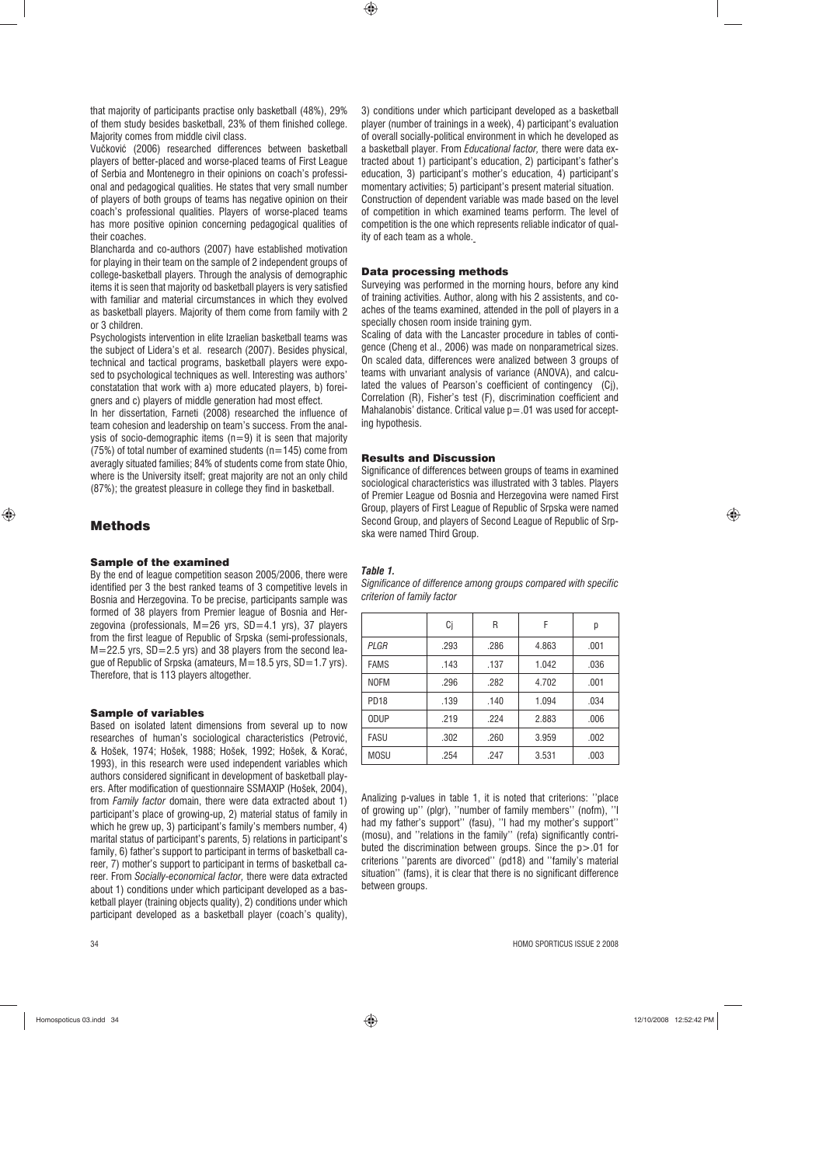that majority of participants practise only basketball (48%), 29% of them study besides basketball, 23% of them finished college. Majority comes from middle civil class.

Vučković (2006) researched differences between basketball players of better-placed and worse-placed teams of First League of Serbia and Montenegro in their opinions on coach's professional and pedagogical qualities. He states that very small number of players of both groups of teams has negative opinion on their coach's professional qualities. Players of worse-placed teams has more positive opinion concerning pedagogical qualities of their coaches.

Blancharda and co-authors (2007) have established motivation for playing in their team on the sample of 2 independent groups of college-basketball players. Through the analysis of demographic items it is seen that majority od basketball players is very satisfied with familiar and material circumstances in which they evolved as basketball players. Majority of them come from family with 2 or 3 children.

Psychologists intervention in elite Izraelian basketball teams was the subject of Lidera's et al. research (2007). Besides physical, technical and tactical programs, basketball players were exposed to psychological techniques as well. Interesting was authors' constatation that work with a) more educated players, b) foreigners and c) players of middle generation had most effect.

In her dissertation, Farneti (2008) researched the influence of team cohesion and leadership on team's success. From the analysis of socio-demographic items  $(n=9)$  it is seen that majority (75%) of total number of examined students ( $n=145$ ) come from averagly situated families; 84% of students come from state Ohio, where is the University itself; great majority are not an only child (87%); the greatest pleasure in college they find in basketball.

# Methods

 $\bigoplus$ 

#### Sample of the examined

By the end of league competition season 2005/2006, there were identified per 3 the best ranked teams of 3 competitive levels in Bosnia and Herzegovina. To be precise, participants sample was formed of 38 players from Premier league of Bosnia and Herzegovina (professionals, M=26 yrs, SD=4.1 yrs), 37 players from the first league of Republic of Srpska (semi-professionals, M=22.5 yrs, SD=2.5 yrs) and 38 players from the second league of Republic of Srpska (amateurs, M=18.5 yrs, SD=1.7 yrs). Therefore, that is 113 players altogether.

#### Sample of variables

Based on isolated latent dimensions from several up to now researches of human's sociological characteristics (Petroviê, & Hošek, 1974; Hošek, 1988; Hošek, 1992; Hošek, & Koraê, 1993), in this research were used independent variables which authors considered significant in development of basketball players. After modification of questionnaire SSMAXIP (Hošek, 2004), from *Family factor* domain, there were data extracted about 1) participant's place of growing-up, 2) material status of family in which he grew up, 3) participant's family's members number, 4) marital status of participant's parents, 5) relations in participant's family, 6) father's support to participant in terms of basketball career, 7) mother's support to participant in terms of basketball career. From *Socially-economical factor,* there were data extracted about 1) conditions under which participant developed as a basketball player (training objects quality), 2) conditions under which participant developed as a basketball player (coach's quality),

3) conditions under which participant developed as a basketball player (number of trainings in a week), 4) participant's evaluation of overall socially-political environment in which he developed as a basketball player. From *Educational factor,* there were data extracted about 1) participant's education, 2) participant's father's education, 3) participant's mother's education, 4) participant's momentary activities; 5) participant's present material situation. Construction of dependent variable was made based on the level of competition in which examined teams perform. The level of competition is the one which represents reliable indicator of quality of each team as a whole.

### Data processing methods

 $\bigoplus$ 

Surveying was performed in the morning hours, before any kind of training activities. Author, along with his 2 assistents, and coaches of the teams examined, attended in the poll of players in a specially chosen room inside training gym.

Scaling of data with the Lancaster procedure in tables of contigence (Cheng et al., 2006) was made on nonparametrical sizes. On scaled data, differences were analized between 3 groups of teams with unvariant analysis of variance (ANOVA), and calculated the values of Pearson's coefficient of contingency (Cj), Correlation (R), Fisher's test (F), discrimination coefficient and Mahalanobis' distance. Critical value  $p = 01$  was used for accepting hypothesis.

# Results and Discussion

Significance of differences between groups of teams in examined sociological characteristics was illustrated with 3 tables. Players of Premier League od Bosnia and Herzegovina were named First Group, players of First League of Republic of Srpska were named Second Group, and players of Second League of Republic of Srpska were named Third Group.

◈

#### *Table 1.*

*Significance of difference among groups compared with specific criterion of family factor*

|                  | Ci   | R    | F     | р    |
|------------------|------|------|-------|------|
| PLGR             | .293 | .286 | 4.863 | .001 |
| <b>FAMS</b>      | .143 | .137 | 1.042 | .036 |
| <b>NOFM</b>      | .296 | .282 | 4.702 | .001 |
| PD <sub>18</sub> | .139 | .140 | 1.094 | .034 |
| <b>ODUP</b>      | .219 | .224 | 2.883 | .006 |
| <b>FASU</b>      | .302 | .260 | 3.959 | .002 |
| <b>MOSU</b>      | .254 | .247 | 3.531 | .003 |

Analizing p-values in table 1, it is noted that criterions: ''place of growing up'' (plgr), ''number of family members'' (nofm), ''I had my father's support'' (fasu), ''I had my mother's support'' (mosu), and ''relations in the family'' (refa) significantly contributed the discrimination between groups. Since the p>.01 for criterions ''parents are divorced'' (pd18) and ''family's material situation'' (fams), it is clear that there is no significant difference between groups.

34 HOMO SPORTICUS ISSUE 2 2008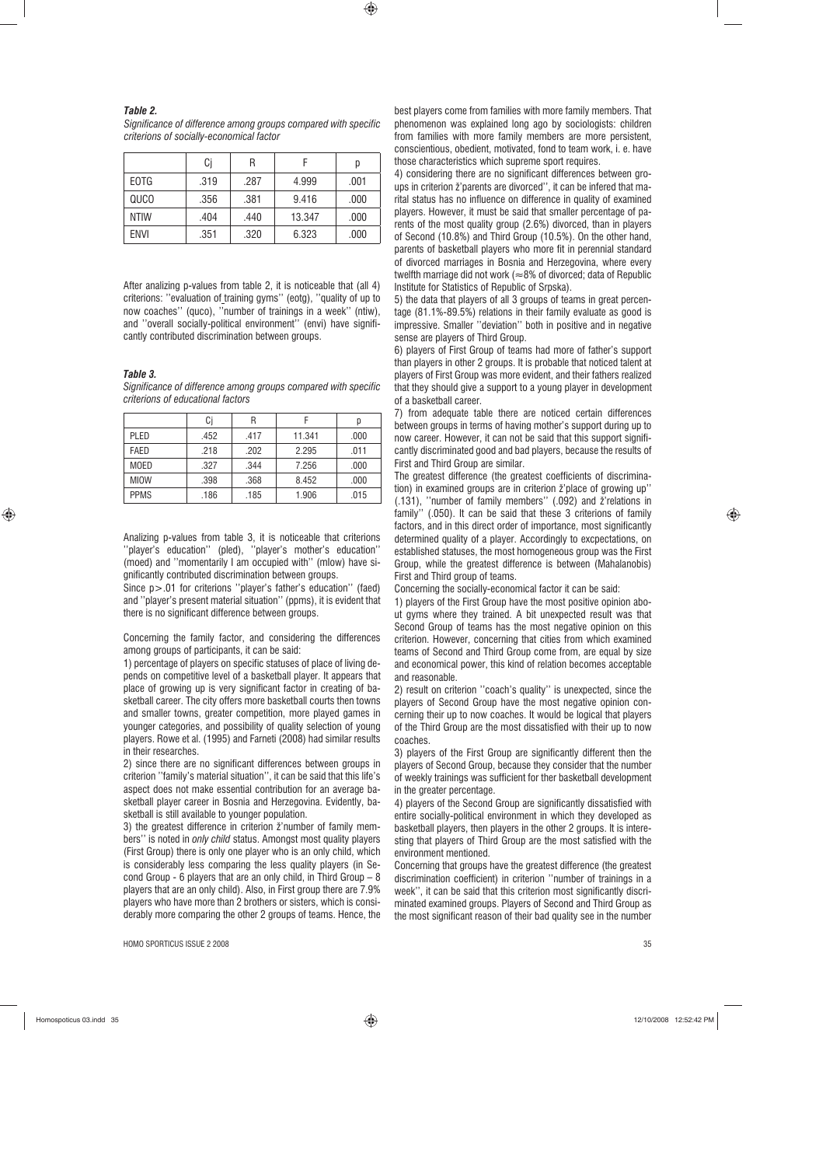#### *Table 2.*

*Significance of difference among groups compared with specific criterions of socially-economical factor*

|             | Ci   | R    |        | р    |
|-------------|------|------|--------|------|
| EOTG        | .319 | .287 | 4.999  | .001 |
| QUCO        | .356 | .381 | 9.416  | .000 |
| <b>NTIW</b> | .404 | .440 | 13.347 | .000 |
| ENVI        | .351 | .320 | 6.323  | .000 |

After analizing p-values from table 2, it is noticeable that (all 4) criterions: "evaluation of training gyms" (eotg), "quality of up to now coaches'' (quco), ''number of trainings in a week'' (ntiw), and ''overall socially-political environment'' (envi) have significantly contributed discrimination between groups.

*Table 3.* 

 $\bigoplus$ 

*Significance of difference among groups compared with specific criterions of educational factors*

|             | Ci   | R    |        | D    |
|-------------|------|------|--------|------|
| <b>PLED</b> | .452 | .417 | 11.341 | .000 |
| <b>FAED</b> | .218 | .202 | 2.295  | .011 |
| <b>MOED</b> | .327 | .344 | 7.256  | .000 |
| <b>MIOW</b> | .398 | .368 | 8.452  | .000 |
| <b>PPMS</b> | .186 | .185 | 1.906  | .015 |

Analizing p-values from table 3, it is noticeable that criterions ''player's education'' (pled), ''player's mother's education'' (moed) and ''momentarily I am occupied with'' (mIow) have significantly contributed discrimination between groups.

Since  $p > 01$  for criterions "player's father's education" (faed) and ''player's present material situation'' (ppms), it is evident that there is no significant difference between groups.

#### Concerning the family factor, and considering the differences among groups of participants, it can be said:

1) percentage of players on specific statuses of place of living depends on competitive level of a basketball player. It appears that place of growing up is very significant factor in creating of basketball career. The city offers more basketball courts then towns and smaller towns, greater competition, more played games in younger categories, and possibility of quality selection of young players. Rowe et al. (1995) and Farneti (2008) had similar results in their researches.

2) since there are no significant differences between groups in criterion ''family's material situation'', it can be said that this life's aspect does not make essential contribution for an average basketball player career in Bosnia and Herzegovina. Evidently, basketball is still available to younger population.

3) the greatest difference in criterion ž'number of family members'' is noted in *only child* status. Amongst most quality players (First Group) there is only one player who is an only child, which is considerably less comparing the less quality players (in Second Group - 6 players that are an only child, in Third Group  $-8$ players that are an only child). Also, in First group there are 7.9% players who have more than 2 brothers or sisters, which is considerably more comparing the other 2 groups of teams. Hence, the

best players come from families with more family members. That phenomenon was explained long ago by sociologists: children from families with more family members are more persistent, conscientious, obedient, motivated, fond to team work, i. e. have those characteristics which supreme sport requires.

4) considering there are no significant differences between groups in criterion ž'parents are divorced", it can be infered that marital status has no influence on difference in quality of examined players. However, it must be said that smaller percentage of parents of the most quality group (2.6%) divorced, than in players of Second (10.8%) and Third Group (10.5%). On the other hand, parents of basketball players who more fit in perennial standard of divorced marriages in Bosnia and Herzegovina, where every twelfth marriage did not work ( $\approx$ 8% of divorced; data of Republic Institute for Statistics of Republic of Srpska).

5) the data that players of all 3 groups of teams in great percentage (81.1%-89.5%) relations in their family evaluate as good is impressive. Smaller ''deviation'' both in positive and in negative sense are players of Third Group.

6) players of First Group of teams had more of father's support than players in other 2 groups. It is probable that noticed talent at players of First Group was more evident, and their fathers realized that they should give a support to a young player in development of a basketball career.

7) from adequate table there are noticed certain differences between groups in terms of having mother's support during up to now career. However, it can not be said that this support significantly discriminated good and bad players, because the results of First and Third Group are similar.

The greatest difference (the greatest coefficients of discrimination) in examined groups are in criterion ž'place of growing up' (.131), "number of family members" (.092) and ž'relations in family'' (.050). It can be said that these 3 criterions of family factors, and in this direct order of importance, most significantly determined quality of a player. Accordingly to excpectations, on established statuses, the most homogeneous group was the First Group, while the greatest difference is between (Mahalanobis) First and Third group of teams.

Concerning the socially-economical factor it can be said:

1) players of the First Group have the most positive opinion about gyms where they trained. A bit unexpected result was that Second Group of teams has the most negative opinion on this criterion. However, concerning that cities from which examined teams of Second and Third Group come from, are equal by size and economical power, this kind of relation becomes acceptable and reasonable.

2) result on criterion ''coach's quality'' is unexpected, since the players of Second Group have the most negative opinion concerning their up to now coaches. It would be logical that players of the Third Group are the most dissatisfied with their up to now coaches.

3) players of the First Group are significantly different then the players of Second Group, because they consider that the number of weekly trainings was sufficient for ther basketball development in the greater percentage.

4) players of the Second Group are significantly dissatisfied with entire socially-political environment in which they developed as basketball players, then players in the other 2 groups. It is interesting that players of Third Group are the most satisfied with the environment mentioned.

Concerning that groups have the greatest difference (the greatest discrimination coefficient) in criterion ''number of trainings in a week'', it can be said that this criterion most significantly discriminated examined groups. Players of Second and Third Group as the most significant reason of their bad quality see in the number

Homospoticus 03.indd 35 12/10/2008 12:52:42 PM

 $\bigoplus$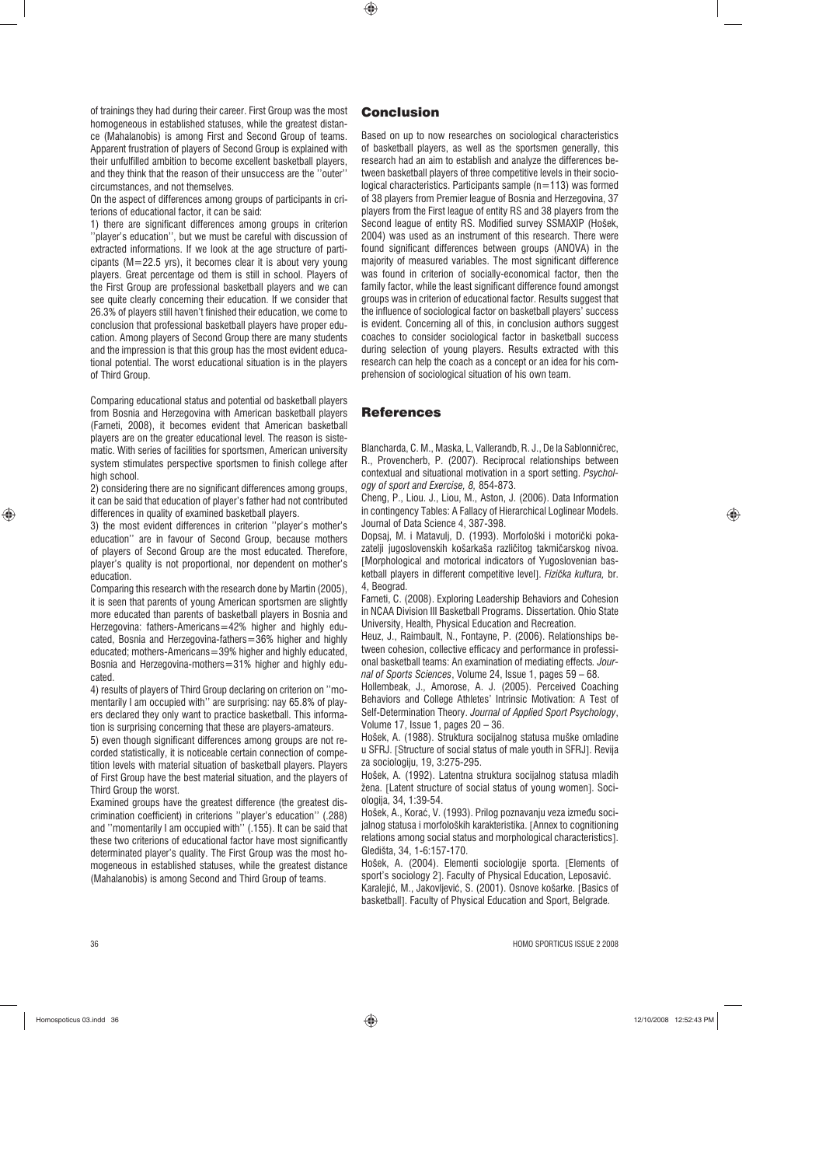of trainings they had during their career. First Group was the most homogeneous in established statuses, while the greatest distance (Mahalanobis) is among First and Second Group of teams. Apparent frustration of players of Second Group is explained with their unfulfilled ambition to become excellent basketball players, and they think that the reason of their unsuccess are the ''outer'' circumstances, and not themselves.

On the aspect of differences among groups of participants in criterions of educational factor, it can be said:

1) there are significant differences among groups in criterion ''player's education'', but we must be careful with discussion of extracted informations. If we look at the age structure of participants (M=22.5 yrs), it becomes clear it is about very young players. Great percentage od them is still in school. Players of the First Group are professional basketball players and we can see quite clearly concerning their education. If we consider that 26.3% of players still haven't finished their education, we come to conclusion that professional basketball players have proper education. Among players of Second Group there are many students and the impression is that this group has the most evident educational potential. The worst educational situation is in the players of Third Group.

Comparing educational status and potential od basketball players from Bosnia and Herzegovina with American basketball players (Farneti, 2008), it becomes evident that American basketball players are on the greater educational level. The reason is sistematic. With series of facilities for sportsmen, American university system stimulates perspective sportsmen to finish college after high school.

2) considering there are no significant differences among groups, it can be said that education of player's father had not contributed differences in quality of examined basketball players.

3) the most evident differences in criterion ''player's mother's education'' are in favour of Second Group, because mothers of players of Second Group are the most educated. Therefore, player's quality is not proportional, nor dependent on mother's education.

Comparing this research with the research done by Martin (2005), it is seen that parents of young American sportsmen are slightly more educated than parents of basketball players in Bosnia and Herzegovina: fathers-Americans=42% higher and highly educated, Bosnia and Herzegovina-fathers=36% higher and highly educated; mothers-Americans=39% higher and highly educated, Bosnia and Herzegovina-mothers=31% higher and highly educated.

4) results of players of Third Group declaring on criterion on ''momentarily I am occupied with'' are surprising: nay 65.8% of players declared they only want to practice basketball. This information is surprising concerning that these are players-amateurs.

5) even though significant differences among groups are not recorded statistically, it is noticeable certain connection of competition levels with material situation of basketball players. Players of First Group have the best material situation, and the players of Third Group the worst.

Examined groups have the greatest difference (the greatest discrimination coefficient) in criterions ''player's education'' (.288) and ''momentarily I am occupied with'' (.155). It can be said that these two criterions of educational factor have most significantly determinated player's quality. The First Group was the most homogeneous in established statuses, while the greatest distance (Mahalanobis) is among Second and Third Group of teams.

 $\bigcirc$ 

Based on up to now researches on sociological characteristics of basketball players, as well as the sportsmen generally, this research had an aim to establish and analyze the differences between basketball players of three competitive levels in their sociological characteristics. Participants sample (n=113) was formed of 38 players from Premier league of Bosnia and Herzegovina, 37 players from the First league of entity RS and 38 players from the Second league of entity RS. Modified survey SSMAXIP (Hošek, 2004) was used as an instrument of this research. There were found significant differences between groups (ANOVA) in the majority of measured variables. The most significant difference was found in criterion of socially-economical factor, then the family factor, while the least significant difference found amongst groups was in criterion of educational factor. Results suggest that the influence of sociological factor on basketball players' success is evident. Concerning all of this, in conclusion authors suggest coaches to consider sociological factor in basketball success during selection of young players. Results extracted with this research can help the coach as a concept or an idea for his comprehension of sociological situation of his own team.

## References

Blancharda, C. M., Maska, L, Vallerandb, R. J., De la Sablonnièrec, R., Provencherb, P. (2007). Reciprocal relationships between contextual and situational motivation in a sport setting. *Psychology of sport and Exercise, 8,* 854-873.

Cheng, P., Liou. J., Liou, M., Aston, J. (2006). Data Information in contingency Tables: A Fallacy of Hierarchical Loglinear Models. Journal of Data Science 4, 387-398.

Dopsaj, M. i Matavulj, D. (1993). Morfološki i motorički pokazatelji jugoslovenskih košarkaša različitog takmičarskog nivoa. [Morphological and motorical indicators of Yugoslovenian basketball players in different competitive level]. *Fiziìka kultura,* br. 4, Beograd.

Farneti, C. (2008). Exploring Leadership Behaviors and Cohesion in NCAA Division III Basketball Programs. Dissertation. Ohio State University, Health, Physical Education and Recreation.

Heuz, J., Raimbault, N., Fontayne, P. (2006). Relationships between cohesion, collective efficacy and performance in professional basketball teams: An examination of mediating effects*. Journal of Sports Sciences*, Volume 24, Issue 1, pages 59 – 68.

Hollembeak, J., Amorose, A. J. (2005). Perceived Coaching Behaviors and College Athletes' Intrinsic Motivation: A Test of Self-Determination Theory. *Journal of Applied Sport Psychology*, Volume 17, Issue 1, pages 20 – 36.

Hošek, A. (1988). Struktura socijalnog statusa muške omladine u SFRJ. [Structure of social status of male youth in SFRJ]. Revija za sociologiju, 19, 3:275-295.

Hošek, A. (1992). Latentna struktura socijalnog statusa mladih žena. [Latent structure of social status of young women]. Sociologija, 34, 1:39-54.

Hošek, A., Korać, V. (1993). Prilog poznavanju veza između socijalnog statusa i morfoloških karakteristika. [Annex to cognitioning relations among social status and morphological characteristics]. Gledišta, 34, 1-6:157-170.

Hošek, A. (2004). Elementi sociologije sporta. [Elements of sport's sociology 2]. Faculty of Physical Education, Leposaviê. Karalejiê, M., Jakovljeviê, S. (2001). Osnove košarke. [Basics of basketball]. Faculty of Physical Education and Sport, Belgrade.

 $\bigoplus$ 

 $\bigoplus$